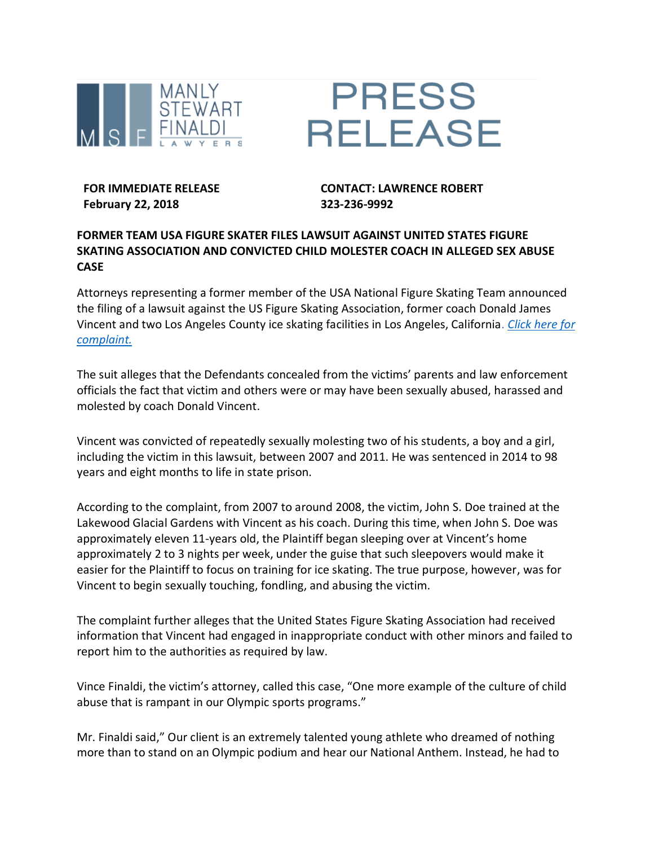



**FOR IMMEDIATE RELEASE February 22, 2018**

**CONTACT: LAWRENCE ROBERT 323-236-9992**

## **FORMER TEAM USA FIGURE SKATER FILES LAWSUIT AGAINST UNITED STATES FIGURE SKATING ASSOCIATION AND CONVICTED CHILD MOLESTER COACH IN ALLEGED SEX ABUSE CASE**

Attorneys representing a former member of the USA National Figure Skating Team announced the filing of a lawsuit against the US Figure Skating Association, former coach Donald James Vincent and two Los Angeles County ice skating facilities in Los Angeles, California. *[Click here for](http://www.californiasexualabusefirm.com/documents/Complaint-conformed.pdf)  [complaint.](http://www.californiasexualabusefirm.com/documents/Complaint-conformed.pdf)*

The suit alleges that the Defendants concealed from the victims' parents and law enforcement officials the fact that victim and others were or may have been sexually abused, harassed and molested by coach Donald Vincent.

Vincent was convicted of repeatedly sexually molesting two of his students, a boy and a girl, including the victim in this lawsuit, between 2007 and 2011. He was sentenced in 2014 to 98 years and eight months to life in state prison.

According to the complaint, from 2007 to around 2008, the victim, John S. Doe trained at the Lakewood Glacial Gardens with Vincent as his coach. During this time, when John S. Doe was approximately eleven 11-years old, the Plaintiff began sleeping over at Vincent's home approximately 2 to 3 nights per week, under the guise that such sleepovers would make it easier for the Plaintiff to focus on training for ice skating. The true purpose, however, was for Vincent to begin sexually touching, fondling, and abusing the victim.

The complaint further alleges that the United States Figure Skating Association had received information that Vincent had engaged in inappropriate conduct with other minors and failed to report him to the authorities as required by law.

Vince Finaldi, the victim's attorney, called this case, "One more example of the culture of child abuse that is rampant in our Olympic sports programs."

Mr. Finaldi said," Our client is an extremely talented young athlete who dreamed of nothing more than to stand on an Olympic podium and hear our National Anthem. Instead, he had to